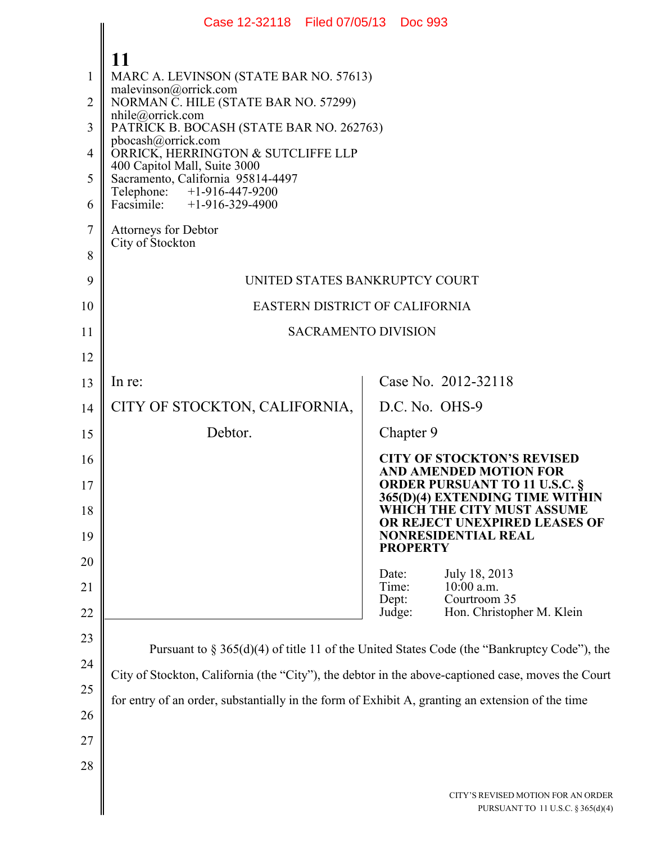|                | Case 12-32118 Filed 07/05/13 Doc 993                                                               |                                                                         |  |
|----------------|----------------------------------------------------------------------------------------------------|-------------------------------------------------------------------------|--|
|                | 11                                                                                                 |                                                                         |  |
| 1              | MARC A. LEVINSON (STATE BAR NO. 57613)                                                             |                                                                         |  |
| $\overline{2}$ | malevinson@orrick.com<br>NORMAN C. HILE (STATE BAR NO. 57299)                                      |                                                                         |  |
| 3              | nhile@orrick.com<br>PATRICK B. BOCASH (STATE BAR NO. 262763)                                       |                                                                         |  |
| $\overline{4}$ | pbocash@orrick.com<br>ORRICK, HERRINGTON & SUTCLIFFE LLP                                           |                                                                         |  |
| 5              | 400 Capitol Mall, Suite 3000<br>Sacramento, California 95814-4497                                  |                                                                         |  |
| 6              | Telephone: +1-916-447-9200<br>Facsimile: +1-916-329-4900                                           |                                                                         |  |
| $\tau$         | Attorneys for Debtor                                                                               |                                                                         |  |
| 8              | City of Stockton                                                                                   |                                                                         |  |
| 9              | UNITED STATES BANKRUPTCY COURT                                                                     |                                                                         |  |
| 10             | EASTERN DISTRICT OF CALIFORNIA                                                                     |                                                                         |  |
| 11             | <b>SACRAMENTO DIVISION</b>                                                                         |                                                                         |  |
| 12             |                                                                                                    |                                                                         |  |
| 13             | In re:                                                                                             | Case No. 2012-32118                                                     |  |
| 14             | CITY OF STOCKTON, CALIFORNIA,                                                                      | D.C. No. OHS-9                                                          |  |
| 15             | Debtor.                                                                                            | Chapter 9                                                               |  |
| 16             |                                                                                                    | <b>CITY OF STOCKTON'S REVISED</b><br><b>AND AMENDED MOTION FOR</b>      |  |
| 17             |                                                                                                    | <b>ORDER PURSUANT TO 11 U.S.C. §</b><br>365(D)(4) EXTENDING TIME WITHIN |  |
| 18             |                                                                                                    | WHICH THE CITY MUST ASSUME<br>OR REJECT UNEXPIRED LEASES OF             |  |
| 19             |                                                                                                    | <b>NONRESIDENTIAL REAL</b><br><b>PROPERTY</b>                           |  |
| 20             |                                                                                                    | Date:<br>July 18, 2013                                                  |  |
| 21             |                                                                                                    | $10:00$ a.m.<br>Time:<br>Courtroom 35<br>Dept:                          |  |
| 22             |                                                                                                    | Judge:<br>Hon. Christopher M. Klein                                     |  |
| 23             | Pursuant to $\S 365(d)(4)$ of title 11 of the United States Code (the "Bankruptcy Code"), the      |                                                                         |  |
| 24             | City of Stockton, California (the "City"), the debtor in the above-captioned case, moves the Court |                                                                         |  |
| 25             | for entry of an order, substantially in the form of Exhibit A, granting an extension of the time   |                                                                         |  |
| 26             |                                                                                                    |                                                                         |  |
| 27             |                                                                                                    |                                                                         |  |
| 28             |                                                                                                    |                                                                         |  |
|                |                                                                                                    | CITY'S REVISED MOTION FOR AN ORDER<br>PURSUANT TO 11 U.S.C. § 365(d)(4) |  |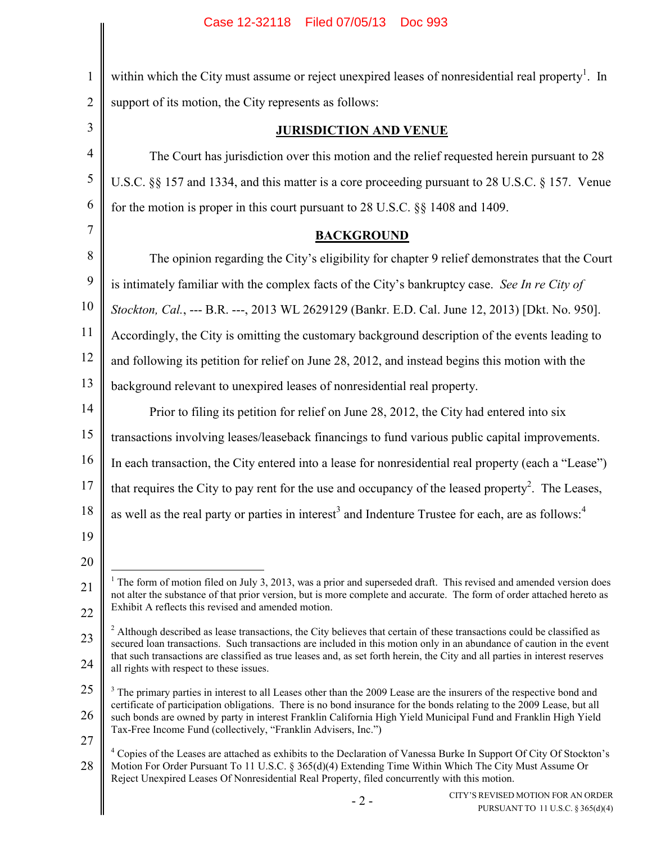| $\mathbf{1}$   | within which the City must assume or reject unexpired leases of nonresidential real property <sup>1</sup> . In                                                                                                                                                                                                                                                                                                                                  |  |
|----------------|-------------------------------------------------------------------------------------------------------------------------------------------------------------------------------------------------------------------------------------------------------------------------------------------------------------------------------------------------------------------------------------------------------------------------------------------------|--|
| $\overline{2}$ | support of its motion, the City represents as follows:                                                                                                                                                                                                                                                                                                                                                                                          |  |
| 3              | <b>JURISDICTION AND VENUE</b>                                                                                                                                                                                                                                                                                                                                                                                                                   |  |
| $\overline{4}$ | The Court has jurisdiction over this motion and the relief requested herein pursuant to 28                                                                                                                                                                                                                                                                                                                                                      |  |
| $\sqrt{5}$     | U.S.C. §§ 157 and 1334, and this matter is a core proceeding pursuant to 28 U.S.C. § 157. Venue                                                                                                                                                                                                                                                                                                                                                 |  |
| 6              | for the motion is proper in this court pursuant to 28 U.S.C. §§ 1408 and 1409.                                                                                                                                                                                                                                                                                                                                                                  |  |
| 7              | <b>BACKGROUND</b>                                                                                                                                                                                                                                                                                                                                                                                                                               |  |
| $\, 8$         | The opinion regarding the City's eligibility for chapter 9 relief demonstrates that the Court                                                                                                                                                                                                                                                                                                                                                   |  |
| 9              | is intimately familiar with the complex facts of the City's bankruptcy case. See In re City of                                                                                                                                                                                                                                                                                                                                                  |  |
| 10             | Stockton, Cal., --- B.R. ---, 2013 WL 2629129 (Bankr. E.D. Cal. June 12, 2013) [Dkt. No. 950].                                                                                                                                                                                                                                                                                                                                                  |  |
| 11             | Accordingly, the City is omitting the customary background description of the events leading to                                                                                                                                                                                                                                                                                                                                                 |  |
| 12             | and following its petition for relief on June 28, 2012, and instead begins this motion with the                                                                                                                                                                                                                                                                                                                                                 |  |
| 13             | background relevant to unexpired leases of nonresidential real property.                                                                                                                                                                                                                                                                                                                                                                        |  |
| 14             | Prior to filing its petition for relief on June 28, 2012, the City had entered into six                                                                                                                                                                                                                                                                                                                                                         |  |
| 15             | transactions involving leases/leaseback financings to fund various public capital improvements.                                                                                                                                                                                                                                                                                                                                                 |  |
| 16             | In each transaction, the City entered into a lease for nonresidential real property (each a "Lease")                                                                                                                                                                                                                                                                                                                                            |  |
| 17             | that requires the City to pay rent for the use and occupancy of the leased property <sup>2</sup> . The Leases,                                                                                                                                                                                                                                                                                                                                  |  |
| 18             | as well as the real party or parties in interest <sup>3</sup> and Indenture Trustee for each, are as follows: <sup>4</sup>                                                                                                                                                                                                                                                                                                                      |  |
| 19             |                                                                                                                                                                                                                                                                                                                                                                                                                                                 |  |
| 20             |                                                                                                                                                                                                                                                                                                                                                                                                                                                 |  |
| 21             | $1$ The form of motion filed on July 3, 2013, was a prior and superseded draft. This revised and amended version does<br>not alter the substance of that prior version, but is more complete and accurate. The form of order attached hereto as                                                                                                                                                                                                 |  |
| 22             | Exhibit A reflects this revised and amended motion.                                                                                                                                                                                                                                                                                                                                                                                             |  |
| 23             | <sup>2</sup> Although described as lease transactions, the City believes that certain of these transactions could be classified as<br>secured loan transactions. Such transactions are included in this motion only in an abundance of caution in the event                                                                                                                                                                                     |  |
| 24             | that such transactions are classified as true leases and, as set forth herein, the City and all parties in interest reserves<br>all rights with respect to these issues.                                                                                                                                                                                                                                                                        |  |
| 25             | <sup>3</sup> The primary parties in interest to all Leases other than the 2009 Lease are the insurers of the respective bond and<br>certificate of participation obligations. There is no bond insurance for the bonds relating to the 2009 Lease, but all<br>such bonds are owned by party in interest Franklin California High Yield Municipal Fund and Franklin High Yield<br>Tax-Free Income Fund (collectively, "Franklin Advisers, Inc.") |  |
| 26             |                                                                                                                                                                                                                                                                                                                                                                                                                                                 |  |
| 27             | <sup>4</sup> Copies of the Leases are attached as exhibits to the Declaration of Vanessa Burke In Support Of City Of Stockton's                                                                                                                                                                                                                                                                                                                 |  |
| 28             | Motion For Order Pursuant To 11 U.S.C. § 365(d)(4) Extending Time Within Which The City Must Assume Or<br>Reject Unexpired Leases Of Nonresidential Real Property, filed concurrently with this motion.                                                                                                                                                                                                                                         |  |
|                | CITY'S REVISED MOTION FOR AN ORDER<br>$-2-$<br>PURSUANT TO 11 U.S.C. § 365(d)(4)                                                                                                                                                                                                                                                                                                                                                                |  |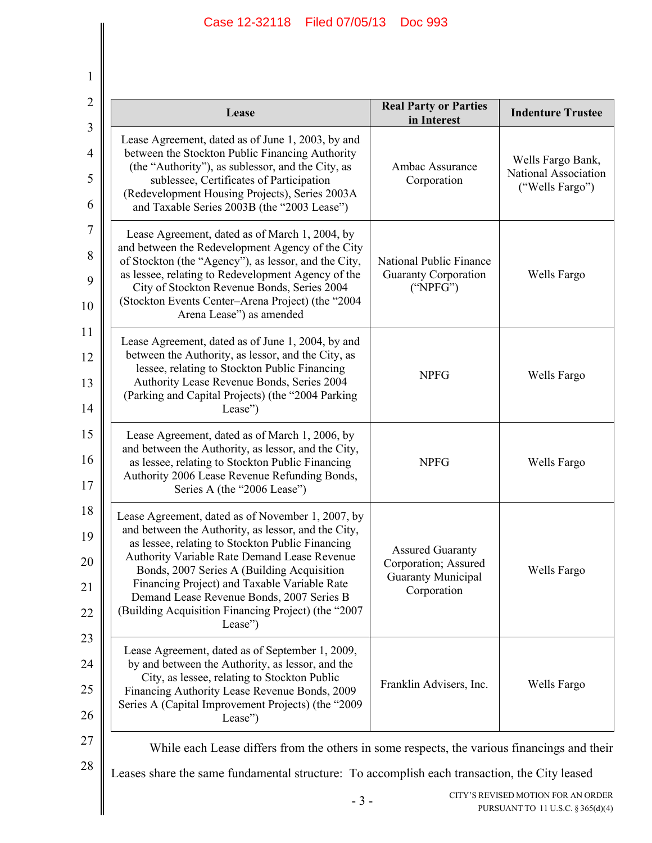1

 $\mathbb I$ 

| Lease                                                                                                                                                                                                                                                                                                                                                                                                                     | <b>Real Party or Parties</b><br>in Interest                                                 | <b>Indenture Trustee</b>                                                |  |
|---------------------------------------------------------------------------------------------------------------------------------------------------------------------------------------------------------------------------------------------------------------------------------------------------------------------------------------------------------------------------------------------------------------------------|---------------------------------------------------------------------------------------------|-------------------------------------------------------------------------|--|
| Lease Agreement, dated as of June 1, 2003, by and<br>between the Stockton Public Financing Authority<br>(the "Authority"), as sublessor, and the City, as<br>sublessee, Certificates of Participation<br>(Redevelopment Housing Projects), Series 2003A<br>and Taxable Series 2003B (the "2003 Lease")                                                                                                                    | Ambac Assurance<br>Corporation                                                              | Wells Fargo Bank,<br>National Association<br>("Wells Fargo")            |  |
| Lease Agreement, dated as of March 1, 2004, by<br>and between the Redevelopment Agency of the City<br>of Stockton (the "Agency"), as lessor, and the City,<br>as lessee, relating to Redevelopment Agency of the<br>City of Stockton Revenue Bonds, Series 2004<br>(Stockton Events Center-Arena Project) (the "2004<br>Arena Lease") as amended                                                                          | National Public Finance<br><b>Guaranty Corporation</b><br>("NPFG")                          | Wells Fargo                                                             |  |
| Lease Agreement, dated as of June 1, 2004, by and<br>between the Authority, as lessor, and the City, as<br>lessee, relating to Stockton Public Financing<br>Authority Lease Revenue Bonds, Series 2004<br>(Parking and Capital Projects) (the "2004 Parking<br>Lease")                                                                                                                                                    | <b>NPFG</b>                                                                                 | Wells Fargo                                                             |  |
| Lease Agreement, dated as of March 1, 2006, by<br>and between the Authority, as lessor, and the City,<br>as lessee, relating to Stockton Public Financing<br>Authority 2006 Lease Revenue Refunding Bonds,<br>Series A (the "2006 Lease")                                                                                                                                                                                 | <b>NPFG</b>                                                                                 | Wells Fargo                                                             |  |
| Lease Agreement, dated as of November 1, 2007, by<br>and between the Authority, as lessor, and the City,<br>as lessee, relating to Stockton Public Financing<br>Authority Variable Rate Demand Lease Revenue<br>Bonds, 2007 Series A (Building Acquisition<br>Financing Project) and Taxable Variable Rate<br>Demand Lease Revenue Bonds, 2007 Series B<br>(Building Acquisition Financing Project) (the "2007<br>Lease") | <b>Assured Guaranty</b><br>Corporation; Assured<br><b>Guaranty Municipal</b><br>Corporation | Wells Fargo                                                             |  |
| Lease Agreement, dated as of September 1, 2009,<br>by and between the Authority, as lessor, and the<br>City, as lessee, relating to Stockton Public<br>Financing Authority Lease Revenue Bonds, 2009<br>Series A (Capital Improvement Projects) (the "2009<br>Lease")                                                                                                                                                     | Franklin Advisers, Inc.                                                                     | Wells Fargo                                                             |  |
| While each Lease differs from the others in some respects, the various financings and their                                                                                                                                                                                                                                                                                                                               |                                                                                             |                                                                         |  |
| Leases share the same fundamental structure: To accomplish each transaction, the City leased                                                                                                                                                                                                                                                                                                                              |                                                                                             |                                                                         |  |
| $-3-$                                                                                                                                                                                                                                                                                                                                                                                                                     |                                                                                             | CITY'S REVISED MOTION FOR AN ORDER<br>PURSUANT TO 11 U.S.C. § 365(d)(4) |  |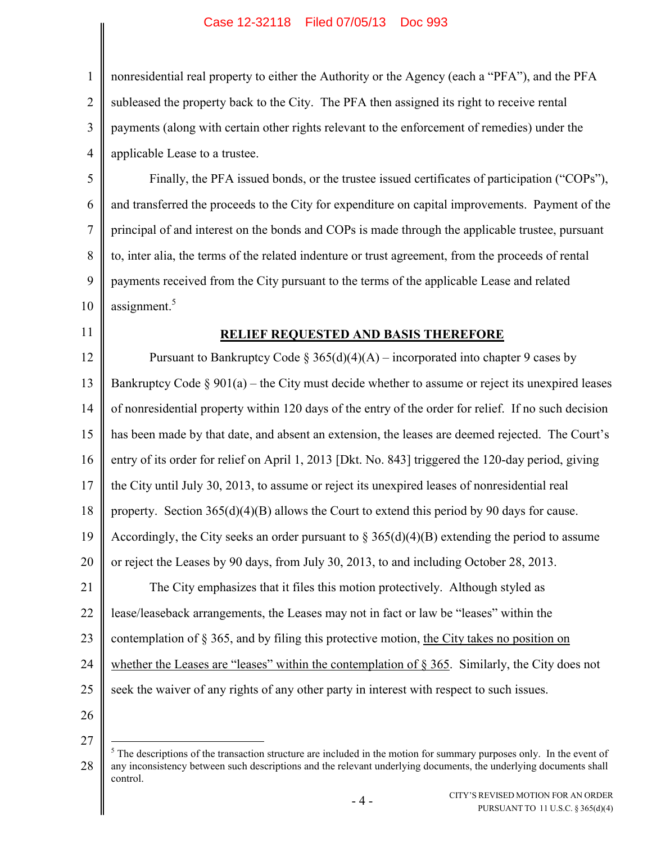2 3 4 nonresidential real property to either the Authority or the Agency (each a "PFA"), and the PFA subleased the property back to the City. The PFA then assigned its right to receive rental payments (along with certain other rights relevant to the enforcement of remedies) under the applicable Lease to a trustee.

5 6 7 8 9 10 Finally, the PFA issued bonds, or the trustee issued certificates of participation ("COPs"), and transferred the proceeds to the City for expenditure on capital improvements. Payment of the principal of and interest on the bonds and COPs is made through the applicable trustee, pursuant to, inter alia, the terms of the related indenture or trust agreement, from the proceeds of rental payments received from the City pursuant to the terms of the applicable Lease and related assignment.<sup>5</sup>

### 11

27

1

# **RELIEF REQUESTED AND BASIS THEREFORE**

12 13 14 15 16 17 18 19 20 21 22 23 24 25 26 Pursuant to Bankruptcy Code § 365(d)(4)(A) – incorporated into chapter 9 cases by Bankruptcy Code  $\S 901(a)$  – the City must decide whether to assume or reject its unexpired leases of nonresidential property within 120 days of the entry of the order for relief. If no such decision has been made by that date, and absent an extension, the leases are deemed rejected. The Court's entry of its order for relief on April 1, 2013 [Dkt. No. 843] triggered the 120-day period, giving the City until July 30, 2013, to assume or reject its unexpired leases of nonresidential real property. Section 365(d)(4)(B) allows the Court to extend this period by 90 days for cause. Accordingly, the City seeks an order pursuant to  $\S 365(d)(4)(B)$  extending the period to assume or reject the Leases by 90 days, from July 30, 2013, to and including October 28, 2013. The City emphasizes that it files this motion protectively. Although styled as lease/leaseback arrangements, the Leases may not in fact or law be "leases" within the contemplation of § 365, and by filing this protective motion, the City takes no position on whether the Leases are "leases" within the contemplation of § 365. Similarly, the City does not seek the waiver of any rights of any other party in interest with respect to such issues.

<sup>28</sup>  $\overline{a}$  $<sup>5</sup>$  The descriptions of the transaction structure are included in the motion for summary purposes only. In the event of</sup> any inconsistency between such descriptions and the relevant underlying documents, the underlying documents shall control.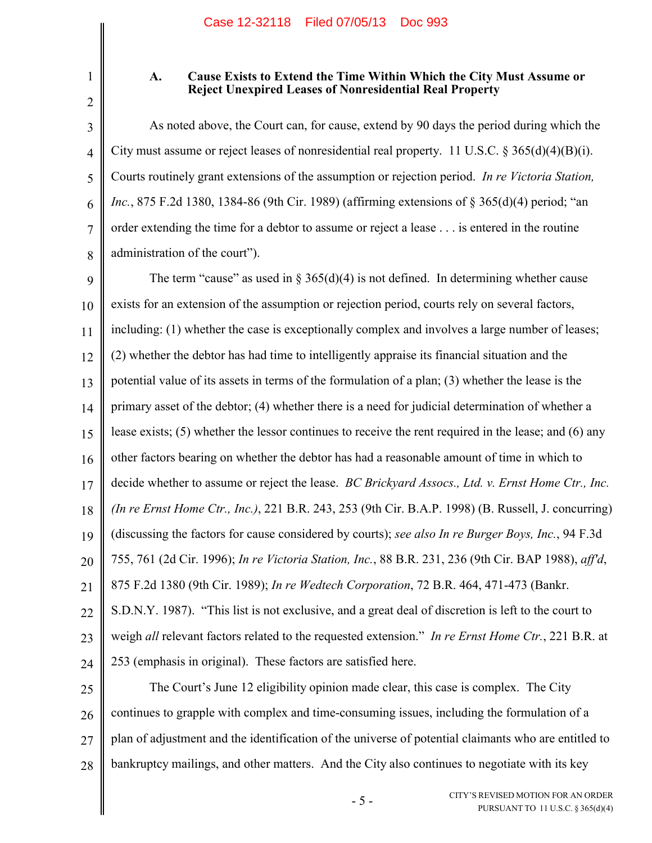2

3

4

5

6

7

8

1

## **A. Cause Exists to Extend the Time Within Which the City Must Assume or Reject Unexpired Leases of Nonresidential Real Property**

As noted above, the Court can, for cause, extend by 90 days the period during which the City must assume or reject leases of nonresidential real property. 11 U.S.C. § 365(d)(4)(B)(i). Courts routinely grant extensions of the assumption or rejection period. *In re Victoria Station, Inc.*, 875 F.2d 1380, 1384-86 (9th Cir. 1989) (affirming extensions of § 365(d)(4) period; "an order extending the time for a debtor to assume or reject a lease . . . is entered in the routine administration of the court").

9 10 11 12 13 14 15 16 17 18 19 20 21 22 23 24 The term "cause" as used in  $\S 365(d)(4)$  is not defined. In determining whether cause exists for an extension of the assumption or rejection period, courts rely on several factors, including: (1) whether the case is exceptionally complex and involves a large number of leases; (2) whether the debtor has had time to intelligently appraise its financial situation and the potential value of its assets in terms of the formulation of a plan; (3) whether the lease is the primary asset of the debtor; (4) whether there is a need for judicial determination of whether a lease exists; (5) whether the lessor continues to receive the rent required in the lease; and (6) any other factors bearing on whether the debtor has had a reasonable amount of time in which to decide whether to assume or reject the lease. *BC Brickyard Assocs., Ltd. v. Ernst Home Ctr., Inc. (In re Ernst Home Ctr., Inc.)*, 221 B.R. 243, 253 (9th Cir. B.A.P. 1998) (B. Russell, J. concurring) (discussing the factors for cause considered by courts); *see also In re Burger Boys, Inc.*, 94 F.3d 755, 761 (2d Cir. 1996); *In re Victoria Station, Inc.*, 88 B.R. 231, 236 (9th Cir. BAP 1988), *aff'd*, 875 F.2d 1380 (9th Cir. 1989); *In re Wedtech Corporation*, 72 B.R. 464, 471-473 (Bankr. S.D.N.Y. 1987). "This list is not exclusive, and a great deal of discretion is left to the court to weigh *all* relevant factors related to the requested extension." *In re Ernst Home Ctr.*, 221 B.R. at 253 (emphasis in original). These factors are satisfied here.

25 26 27 28 The Court's June 12 eligibility opinion made clear, this case is complex. The City continues to grapple with complex and time-consuming issues, including the formulation of a plan of adjustment and the identification of the universe of potential claimants who are entitled to bankruptcy mailings, and other matters. And the City also continues to negotiate with its key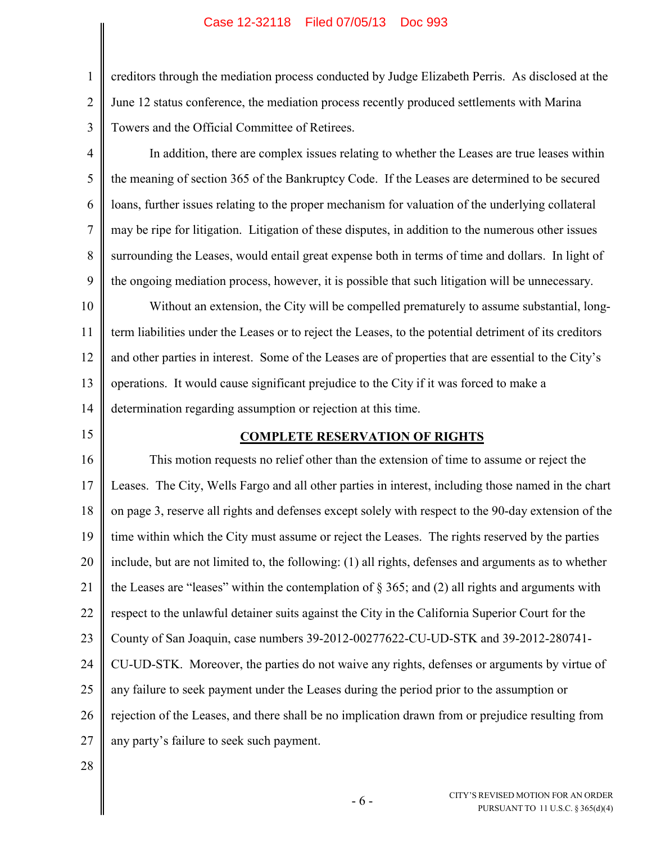### Case 12-32118 Filed 07/05/13 Doc 993

creditors through the mediation process conducted by Judge Elizabeth Perris. As disclosed at the June 12 status conference, the mediation process recently produced settlements with Marina Towers and the Official Committee of Retirees.

4 5 6 7 8 9 In addition, there are complex issues relating to whether the Leases are true leases within the meaning of section 365 of the Bankruptcy Code. If the Leases are determined to be secured loans, further issues relating to the proper mechanism for valuation of the underlying collateral may be ripe for litigation. Litigation of these disputes, in addition to the numerous other issues surrounding the Leases, would entail great expense both in terms of time and dollars. In light of the ongoing mediation process, however, it is possible that such litigation will be unnecessary.

10 11 12 13 14 Without an extension, the City will be compelled prematurely to assume substantial, longterm liabilities under the Leases or to reject the Leases, to the potential detriment of its creditors and other parties in interest. Some of the Leases are of properties that are essential to the City's operations. It would cause significant prejudice to the City if it was forced to make a determination regarding assumption or rejection at this time.

15

1

2

3

### **COMPLETE RESERVATION OF RIGHTS**

16 17 18 19 20 21 22 23 24 25 26 27 This motion requests no relief other than the extension of time to assume or reject the Leases. The City, Wells Fargo and all other parties in interest, including those named in the chart on page 3, reserve all rights and defenses except solely with respect to the 90-day extension of the time within which the City must assume or reject the Leases. The rights reserved by the parties include, but are not limited to, the following: (1) all rights, defenses and arguments as to whether the Leases are "leases" within the contemplation of  $\S 365$ ; and (2) all rights and arguments with respect to the unlawful detainer suits against the City in the California Superior Court for the County of San Joaquin, case numbers 39-2012-00277622-CU-UD-STK and 39-2012-280741- CU-UD-STK. Moreover, the parties do not waive any rights, defenses or arguments by virtue of any failure to seek payment under the Leases during the period prior to the assumption or rejection of the Leases, and there shall be no implication drawn from or prejudice resulting from any party's failure to seek such payment.

28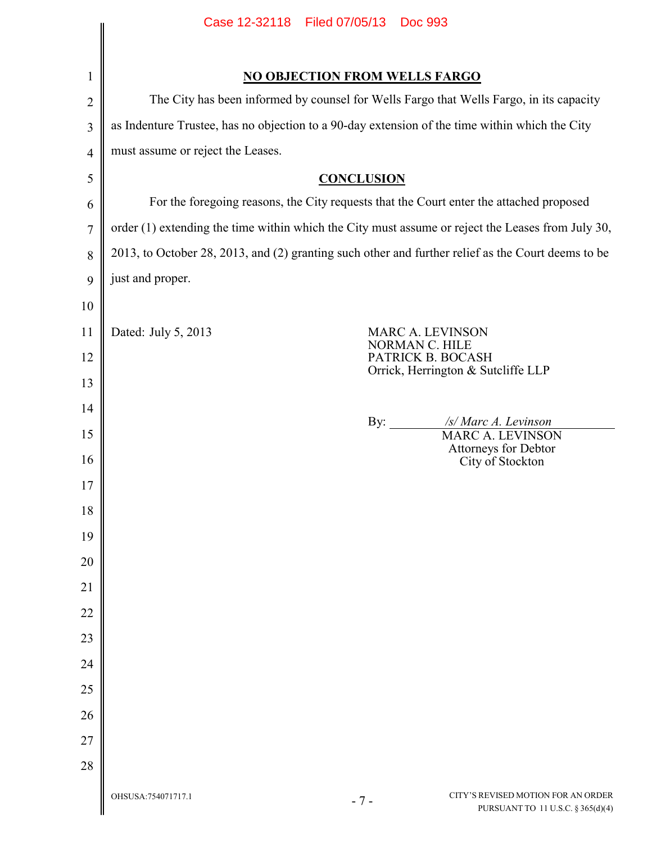|                | Case 12-32118 Filed 07/05/13<br><b>Doc 993</b>                                                     |                                                                                                   |  |
|----------------|----------------------------------------------------------------------------------------------------|---------------------------------------------------------------------------------------------------|--|
|                |                                                                                                    |                                                                                                   |  |
| 1              | <b>NO OBJECTION FROM WELLS FARGO</b>                                                               |                                                                                                   |  |
| $\overline{2}$ | The City has been informed by counsel for Wells Fargo that Wells Fargo, in its capacity            |                                                                                                   |  |
| $\mathfrak{Z}$ | as Indenture Trustee, has no objection to a 90-day extension of the time within which the City     |                                                                                                   |  |
| $\overline{4}$ | must assume or reject the Leases.                                                                  |                                                                                                   |  |
| 5              | <b>CONCLUSION</b>                                                                                  |                                                                                                   |  |
| 6              | For the foregoing reasons, the City requests that the Court enter the attached proposed            |                                                                                                   |  |
| $\overline{7}$ |                                                                                                    | order (1) extending the time within which the City must assume or reject the Leases from July 30, |  |
| 8              | 2013, to October 28, 2013, and (2) granting such other and further relief as the Court deems to be |                                                                                                   |  |
| 9              | just and proper.                                                                                   |                                                                                                   |  |
| 10             |                                                                                                    |                                                                                                   |  |
| 11             | Dated: July 5, 2013<br>MARC A. LEVINSON                                                            |                                                                                                   |  |
| 12             | NORMAN C. HILE<br>PATRICK B. BOCASH                                                                |                                                                                                   |  |
| 13             |                                                                                                    | Orrick, Herrington & Sutcliffe LLP                                                                |  |
| 14             |                                                                                                    |                                                                                                   |  |
| 15             | By: $\qquad \qquad$                                                                                | /s/ Marc A. Levinson<br><b>MARC A. LEVINSON</b>                                                   |  |
| 16             |                                                                                                    | Attorneys for Debtor<br>City of Stockton                                                          |  |
| 17             |                                                                                                    |                                                                                                   |  |
| 18             |                                                                                                    |                                                                                                   |  |
| 19             |                                                                                                    |                                                                                                   |  |
| 20             |                                                                                                    |                                                                                                   |  |
| 21             |                                                                                                    |                                                                                                   |  |
| 22             |                                                                                                    |                                                                                                   |  |
| 23             |                                                                                                    |                                                                                                   |  |
| 24             |                                                                                                    |                                                                                                   |  |
| 25             |                                                                                                    |                                                                                                   |  |
| 26             |                                                                                                    |                                                                                                   |  |
| 27             |                                                                                                    |                                                                                                   |  |
| 28             |                                                                                                    |                                                                                                   |  |
|                | OHSUSA: 754071717.1<br>$-7-$                                                                       | CITY'S REVISED MOTION FOR AN ORDER<br>PURSUANT TO 11 U.S.C. § 365(d)(4)                           |  |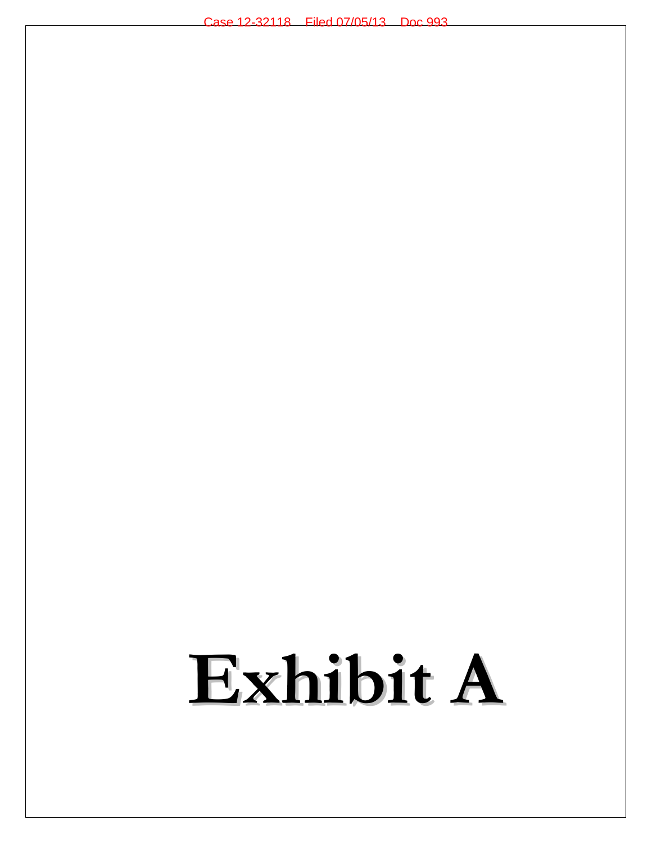# **Exhibit A**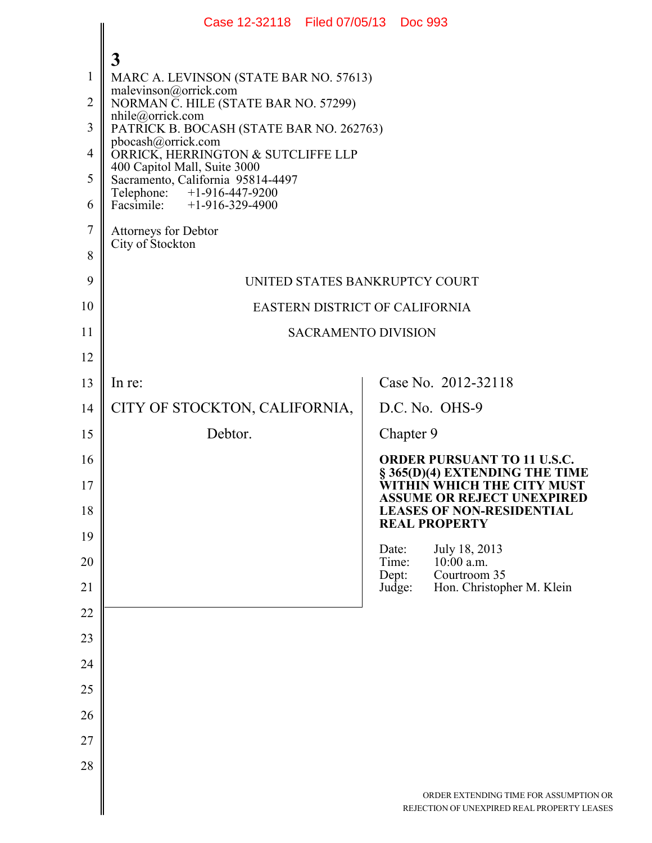|                | Case 12-32118 Filed 07/05/13 Doc 993                                                          |                |                                                                                                    |
|----------------|-----------------------------------------------------------------------------------------------|----------------|----------------------------------------------------------------------------------------------------|
|                | $\mathbf{3}$                                                                                  |                |                                                                                                    |
| $\mathbf{1}$   | MARC A. LEVINSON (STATE BAR NO. 57613)<br>malevinson@orrick.com                               |                |                                                                                                    |
| $\overline{2}$ | NORMAN C. HILE (STATE BAR NO. 57299)<br>nhile@orrick.com                                      |                |                                                                                                    |
| 3              | PATRICK B. BOCASH (STATE BAR NO. 262763)<br>pbocash@orrick.com                                |                |                                                                                                    |
| 4<br>5         | ORRICK, HERRINGTON & SUTCLIFFE LLP<br>400 Capitol Mall, Suite 3000                            |                |                                                                                                    |
| 6              | Sacramento, California 95814-4497<br>Telephone: +1-916-447-9200<br>Facsimile: +1-916-329-4900 |                |                                                                                                    |
| $\tau$         | Attorneys for Debtor                                                                          |                |                                                                                                    |
| 8              | City of Stockton                                                                              |                |                                                                                                    |
| 9              | UNITED STATES BANKRUPTCY COURT                                                                |                |                                                                                                    |
| 10             | EASTERN DISTRICT OF CALIFORNIA                                                                |                |                                                                                                    |
| 11             | <b>SACRAMENTO DIVISION</b>                                                                    |                |                                                                                                    |
| 12             |                                                                                               |                |                                                                                                    |
| 13             | In re:                                                                                        |                | Case No. 2012-32118                                                                                |
| 14             | CITY OF STOCKTON, CALIFORNIA,                                                                 |                | D.C. No. OHS-9                                                                                     |
| 15             | Debtor.                                                                                       | Chapter 9      |                                                                                                    |
| 16<br>17       |                                                                                               |                | <b>ORDER PURSUANT TO 11 U.S.C.</b><br>§ 365(D)(4) EXTENDING THE TIME<br>WITHIN WHICH THE CITY MUST |
| 18             |                                                                                               |                | <b>ASSUME OR REJECT UNEXPIRED</b><br><b>LEASES OF NON-RESIDENTIAL</b><br><b>REAL PROPERTY</b>      |
| 19             |                                                                                               | Date:          | July 18, 2013                                                                                      |
| 20             |                                                                                               | Time:<br>Dept: | $10:00$ a.m.<br>Courtroom 35                                                                       |
| 21             |                                                                                               | Judge:         | Hon. Christopher M. Klein                                                                          |
| 22             |                                                                                               |                |                                                                                                    |
| 23             |                                                                                               |                |                                                                                                    |
| 24             |                                                                                               |                |                                                                                                    |
| 25<br>26       |                                                                                               |                |                                                                                                    |
| 27             |                                                                                               |                |                                                                                                    |
| 28             |                                                                                               |                |                                                                                                    |
|                |                                                                                               |                |                                                                                                    |
|                |                                                                                               |                | ORDER EXTENDING TIME FOR ASSUMPTIO<br>REJECTION OF UNEXPIRED REAL PROPERTY LEA                     |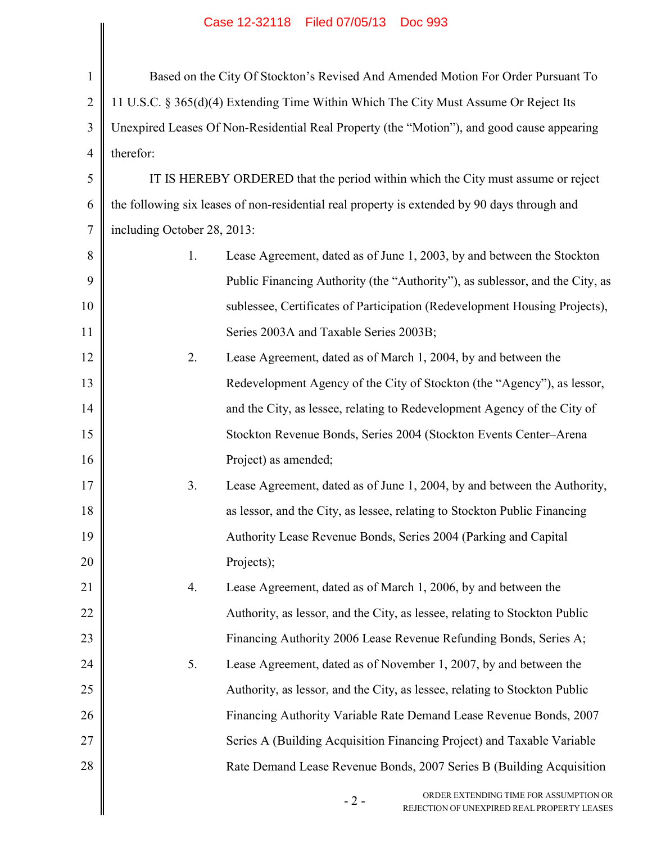|                | Case IZ-32118 Filed 07/05/13 DOC 993                                                           |  |
|----------------|------------------------------------------------------------------------------------------------|--|
|                |                                                                                                |  |
| $\mathbf{1}$   | Based on the City Of Stockton's Revised And Amended Motion For Order Pursuant To               |  |
| $\overline{2}$ | 11 U.S.C. § 365(d)(4) Extending Time Within Which The City Must Assume Or Reject Its           |  |
| 3              | Unexpired Leases Of Non-Residential Real Property (the "Motion"), and good cause appearing     |  |
| $\overline{4}$ | therefor:                                                                                      |  |
| 5              | IT IS HEREBY ORDERED that the period within which the City must assume or reject               |  |
| 6              | the following six leases of non-residential real property is extended by 90 days through and   |  |
| 7              | including October 28, 2013:                                                                    |  |
| 8              | Lease Agreement, dated as of June 1, 2003, by and between the Stockton<br>1.                   |  |
| 9              | Public Financing Authority (the "Authority"), as sublessor, and the City, as                   |  |
| 10             | sublessee, Certificates of Participation (Redevelopment Housing Projects),                     |  |
| 11             | Series 2003A and Taxable Series 2003B;                                                         |  |
| 12             | Lease Agreement, dated as of March 1, 2004, by and between the<br>2.                           |  |
| 13             | Redevelopment Agency of the City of Stockton (the "Agency"), as lessor,                        |  |
| 14             | and the City, as lessee, relating to Redevelopment Agency of the City of                       |  |
| 15             | Stockton Revenue Bonds, Series 2004 (Stockton Events Center–Arena                              |  |
| 16             | Project) as amended;                                                                           |  |
| 17             | Lease Agreement, dated as of June 1, 2004, by and between the Authority,<br>3.                 |  |
| 18             | as lessor, and the City, as lessee, relating to Stockton Public Financing                      |  |
| 19             | Authority Lease Revenue Bonds, Series 2004 (Parking and Capital                                |  |
| 20             | Projects);                                                                                     |  |
| 21             | Lease Agreement, dated as of March 1, 2006, by and between the<br>4.                           |  |
| 22             | Authority, as lessor, and the City, as lessee, relating to Stockton Public                     |  |
| 23             | Financing Authority 2006 Lease Revenue Refunding Bonds, Series A;                              |  |
| 24             | 5.<br>Lease Agreement, dated as of November 1, 2007, by and between the                        |  |
| 25             | Authority, as lessor, and the City, as lessee, relating to Stockton Public                     |  |
| 26             | Financing Authority Variable Rate Demand Lease Revenue Bonds, 2007                             |  |
| 27             | Series A (Building Acquisition Financing Project) and Taxable Variable                         |  |
| 28             | Rate Demand Lease Revenue Bonds, 2007 Series B (Building Acquisition                           |  |
|                | ORDER EXTENDING TIME FOR ASSUMPTION OR<br>$-2-$<br>REJECTION OF UNEXPIRED REAL PROPERTY LEASES |  |